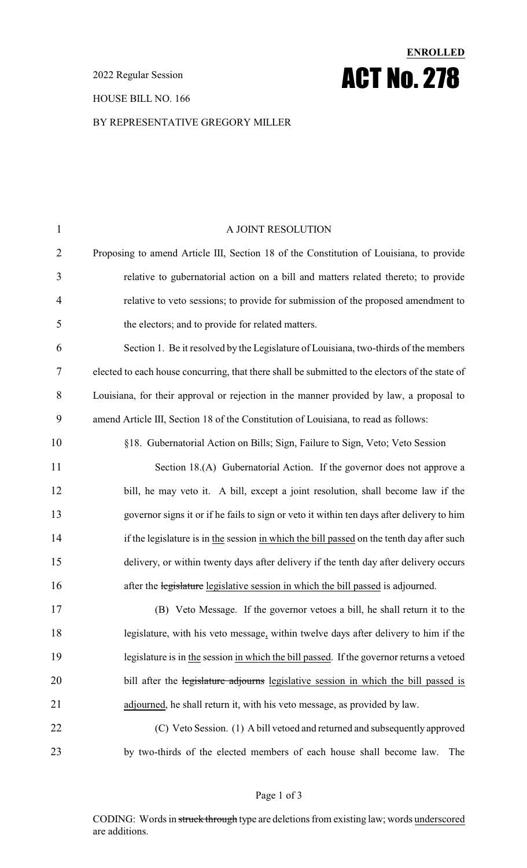2022 Regular Session

### HOUSE BILL NO. 166

## BY REPRESENTATIVE GREGORY MILLER

**ENROLLED**

ACT No. 278

| $\mathbf{1}$   | A JOINT RESOLUTION                                                                              |
|----------------|-------------------------------------------------------------------------------------------------|
| $\overline{2}$ | Proposing to amend Article III, Section 18 of the Constitution of Louisiana, to provide         |
| 3              | relative to gubernatorial action on a bill and matters related thereto; to provide              |
| $\overline{4}$ | relative to veto sessions; to provide for submission of the proposed amendment to               |
| 5              | the electors; and to provide for related matters.                                               |
| 6              | Section 1. Be it resolved by the Legislature of Louisiana, two-thirds of the members            |
| 7              | elected to each house concurring, that there shall be submitted to the electors of the state of |
| 8              | Louisiana, for their approval or rejection in the manner provided by law, a proposal to         |
| 9              | amend Article III, Section 18 of the Constitution of Louisiana, to read as follows:             |
| 10             | §18. Gubernatorial Action on Bills; Sign, Failure to Sign, Veto; Veto Session                   |
| 11             | Section 18.(A) Gubernatorial Action. If the governor does not approve a                         |
| 12             | bill, he may veto it. A bill, except a joint resolution, shall become law if the                |
| 13             | governor signs it or if he fails to sign or veto it within ten days after delivery to him       |
| 14             | if the legislature is in the session in which the bill passed on the tenth day after such       |
| 15             | delivery, or within twenty days after delivery if the tenth day after delivery occurs           |
| 16             | after the legislature legislative session in which the bill passed is adjourned.                |
| 17             | (B) Veto Message. If the governor vetoes a bill, he shall return it to the                      |
| 18             | legislature, with his veto message, within twelve days after delivery to him if the             |
| 19             | legislature is in the session in which the bill passed. If the governor returns a vetoed        |
| 20             | bill after the legislature adjourns legislative session in which the bill passed is             |
| 21             | adjourned, he shall return it, with his veto message, as provided by law.                       |
| 22             | (C) Veto Session. (1) A bill vetoed and returned and subsequently approved                      |
| 23             | by two-thirds of the elected members of each house shall become law.<br>The                     |

### Page 1 of 3

CODING: Words in struck through type are deletions from existing law; words underscored are additions.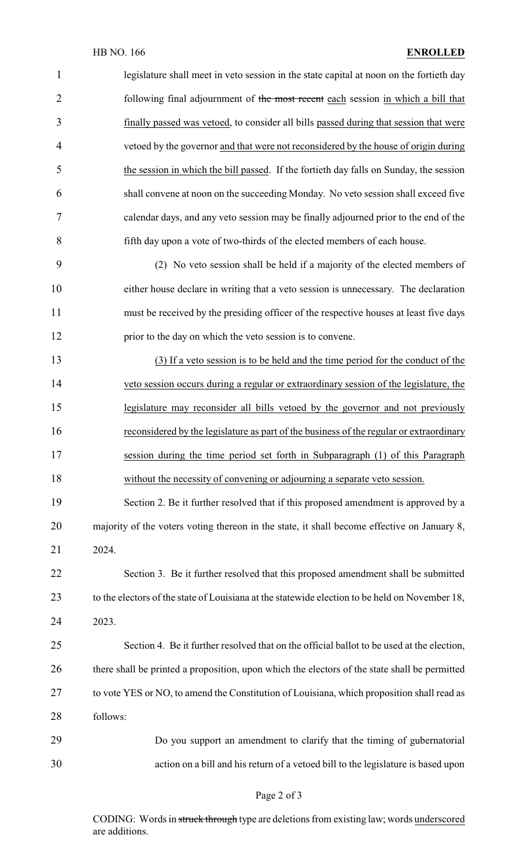# HB NO. 166 **ENROLLED**

| $\mathbf{1}$   | legislature shall meet in veto session in the state capital at noon on the fortieth day        |
|----------------|------------------------------------------------------------------------------------------------|
| $\overline{2}$ | following final adjournment of the most recent each session in which a bill that               |
| 3              | finally passed was vetoed, to consider all bills passed during that session that were          |
| $\overline{4}$ | vetoed by the governor and that were not reconsidered by the house of origin during            |
| 5              | the session in which the bill passed. If the fortieth day falls on Sunday, the session         |
| 6              | shall convene at noon on the succeeding Monday. No veto session shall exceed five              |
| 7              | calendar days, and any veto session may be finally adjourned prior to the end of the           |
| 8              | fifth day upon a vote of two-thirds of the elected members of each house.                      |
| 9              | (2) No veto session shall be held if a majority of the elected members of                      |
| 10             | either house declare in writing that a veto session is unnecessary. The declaration            |
| 11             | must be received by the presiding officer of the respective houses at least five days          |
| 12             | prior to the day on which the veto session is to convene.                                      |
| 13             | (3) If a veto session is to be held and the time period for the conduct of the                 |
| 14             | veto session occurs during a regular or extraordinary session of the legislature, the          |
| 15             | legislature may reconsider all bills vetoed by the governor and not previously                 |
| 16             | reconsidered by the legislature as part of the business of the regular or extraordinary        |
| 17             | session during the time period set forth in Subparagraph (1) of this Paragraph                 |
| 18             | without the necessity of convening or adjourning a separate veto session.                      |
| 19             | Section 2. Be it further resolved that if this proposed amendment is approved by a             |
| 20             | majority of the voters voting thereon in the state, it shall become effective on January 8,    |
| 21             | 2024.                                                                                          |
| 22             | Section 3. Be it further resolved that this proposed amendment shall be submitted              |
| 23             | to the electors of the state of Louisiana at the statewide election to be held on November 18, |
| 24             | 2023.                                                                                          |
| 25             | Section 4. Be it further resolved that on the official ballot to be used at the election,      |
| 26             | there shall be printed a proposition, upon which the electors of the state shall be permitted  |
| 27             | to vote YES or NO, to amend the Constitution of Louisiana, which proposition shall read as     |
| 28             | follows:                                                                                       |
| 29             | Do you support an amendment to clarify that the timing of gubernatorial                        |
| 30             | action on a bill and his return of a vetoed bill to the legislature is based upon              |

# Page 2 of 3

CODING: Words in struck through type are deletions from existing law; words underscored are additions.